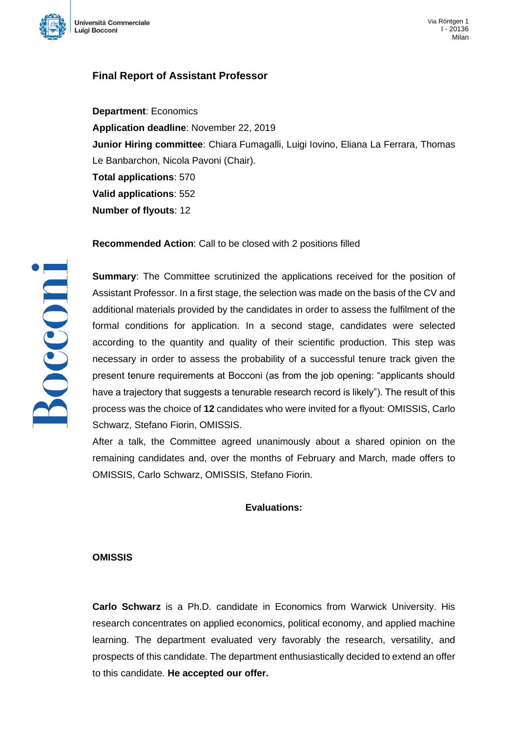

# **Final Report of Assistant Professor**

**Department**: Economics **Application deadline**: November 22, 2019 **Junior Hiring committee**: Chiara Fumagalli, Luigi Iovino, Eliana La Ferrara, Thomas Le Banbarchon, Nicola Pavoni (Chair). **Total applications**: 570 **Valid applications**: 552 **Number of flyouts**: 12

**Recommended Action**: Call to be closed with 2 positions filled

**Summary**: The Committee scrutinized the applications received for the position of Assistant Professor. In a first stage, the selection was made on the basis of the CV and additional materials provided by the candidates in order to assess the fulfilment of the formal conditions for application. In a second stage, candidates were selected according to the quantity and quality of their scientific production. This step was necessary in order to assess the probability of a successful tenure track given the present tenure requirements at Bocconi (as from the job opening: "applicants should have a trajectory that suggests a tenurable research record is likely"). The result of this process was the choice of **12** candidates who were invited for a flyout: OMISSIS, Carlo Schwarz, Stefano Fiorin, OMISSIS.

After a talk, the Committee agreed unanimously about a shared opinion on the remaining candidates and, over the months of February and March, made offers to OMISSIS, Carlo Schwarz, OMISSIS, Stefano Fiorin.

# **Evaluations:**

#### **OMISSIS**

**Carlo Schwarz** is a Ph.D. candidate in Economics from Warwick University. His research concentrates on applied economics, political economy, and applied machine learning. The department evaluated very favorably the research, versatility, and prospects of this candidate. The department enthusiastically decided to extend an offer to this candidate. **He accepted our offer.**